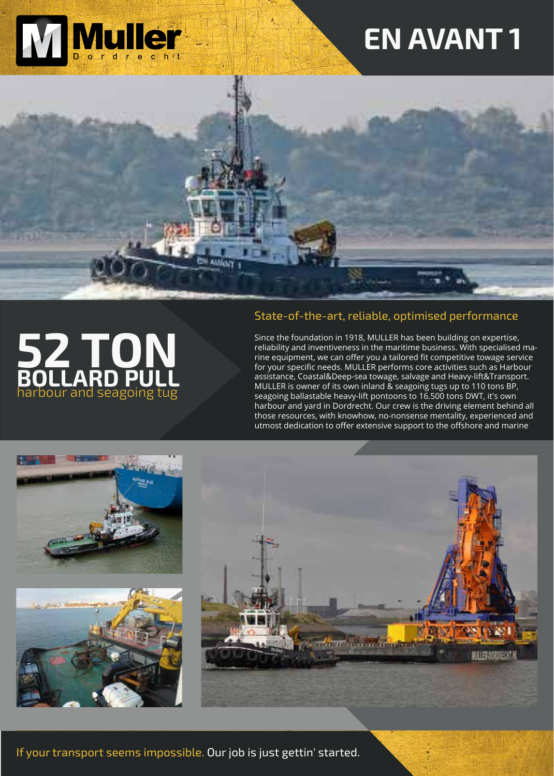

# **EN AVANT 1**





#### State-of-the-art, reliable, optimised performance

Since the foundation in 1918, MULLER has been building on expertise, reliability and inventiveness in the maritime business. With specialised marine equipment, we can offer you a tailored fit competitive towage service for your specific needs. MULLER performs core activities such as Harbour assistance, Coastal&Deep-sea towage, salvage and Heavy-lift&Transport. MULLER is owner of its own inland & seagoing tugs up to 110 tons BP, seagoing ballastable heavy-lift pontoons to 16.500 tons DWT, it's own harbour and yard in Dordrecht. Our crew is the driving element behind all those resources, with knowhow, no-nonsense mentality, experienced and utmost dedication to offer extensive support to the offshore and marine



If your transport seems impossible. Our job is just gettin' started.